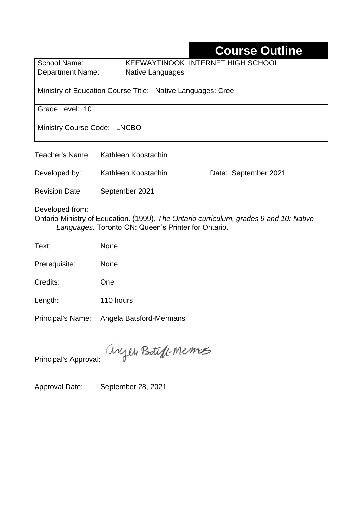# **Course Outline**

School Name: KEEWAYTINOOK INTERNET HIGH SCHOOL Department Name:Native Languages

Ministry of Education Course Title:Native Languages: Cree

Grade Level: 10

Ministry Course Code: LNCBO

| Teacher's Name:                                                                                                                                                  | Kathleen Koostachin |                      |  |  |  |  |
|------------------------------------------------------------------------------------------------------------------------------------------------------------------|---------------------|----------------------|--|--|--|--|
| Developed by:                                                                                                                                                    | Kathleen Koostachin | Date: September 2021 |  |  |  |  |
| <b>Revision Date:</b>                                                                                                                                            | September 2021      |                      |  |  |  |  |
| Developed from:<br>Ontario Ministry of Education. (1999). The Ontario curriculum, grades 9 and 10: Native<br>Languages. Toronto ON: Queen's Printer for Ontario. |                     |                      |  |  |  |  |
| Text:                                                                                                                                                            | <b>None</b>         |                      |  |  |  |  |
| $D_{max}$ $\sim$ $\sim$ $\sim$ $\sim$ $\sim$ $\sim$ $\sim$                                                                                                       |                     |                      |  |  |  |  |

Prerequisite: None

Credits: One

Length: 110 hours

Principal's Name: Angela Batsford-Mermans

anyen Boteft-Memos

Principal's Approval:

Approval Date: September 28, 2021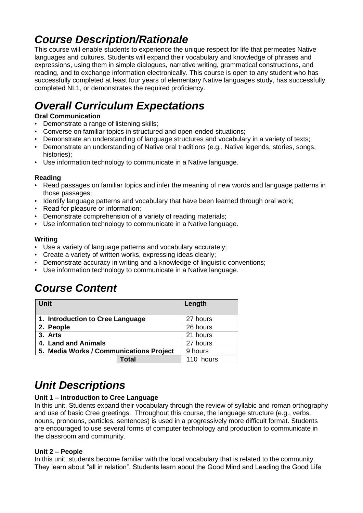# *Course Description/Rationale*

This course will enable students to experience the unique respect for life that permeates Native languages and cultures. Students will expand their vocabulary and knowledge of phrases and expressions, using them in simple dialogues, narrative writing, grammatical constructions, and reading, and to exchange information electronically. This course is open to any student who has successfully completed at least four years of elementary Native languages study, has successfully completed NL1, or demonstrates the required proficiency.

# *Overall Curriculum Expectations*

### **Oral Communication**

- Demonstrate a range of listening skills;
- Converse on familiar topics in structured and open-ended situations;
- Demonstrate an understanding of language structures and vocabulary in a variety of texts;
- Demonstrate an understanding of Native oral traditions (e.g., Native legends, stories, songs, histories);
- Use information technology to communicate in a Native language.

### **Reading**

- Read passages on familiar topics and infer the meaning of new words and language patterns in those passages;
- Identify language patterns and vocabulary that have been learned through oral work;
- Read for pleasure or information;
- Demonstrate comprehension of a variety of reading materials;
- Use information technology to communicate in a Native language.

#### **Writing**

- Use a variety of language patterns and vocabulary accurately;
- Create a variety of written works, expressing ideas clearly;
- Demonstrate accuracy in writing and a knowledge of linguistic conventions;
- Use information technology to communicate in a Native language.

## *Course Content*

| <b>Unit</b>                             |       | Length    |
|-----------------------------------------|-------|-----------|
| 1. Introduction to Cree Language        |       | 27 hours  |
| 2. People                               |       | 26 hours  |
| 3. Arts                                 |       | 21 hours  |
| 4. Land and Animals                     |       | 27 hours  |
| 5. Media Works / Communications Project |       | 9 hours   |
|                                         | Total | 110 hours |

# *Unit Descriptions*

### **Unit 1 – Introduction to Cree Language**

In this unit, Students expand their vocabulary through the review of syllabic and roman orthography and use of basic Cree greetings. Throughout this course, the language structure (e.g., verbs, nouns, pronouns, particles, sentences) is used in a progressively more difficult format. Students are encouraged to use several forms of computer technology and production to communicate in the classroom and community.

#### **Unit 2 – People**

In this unit, students become familiar with the local vocabulary that is related to the community. They learn about "all in relation". Students learn about the Good Mind and Leading the Good Life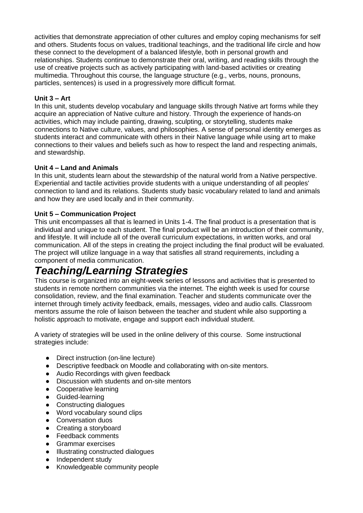activities that demonstrate appreciation of other cultures and employ coping mechanisms for self and others. Students focus on values, traditional teachings, and the traditional life circle and how these connect to the development of a balanced lifestyle, both in personal growth and relationships. Students continue to demonstrate their oral, writing, and reading skills through the use of creative projects such as actively participating with land-based activities or creating multimedia. Throughout this course, the language structure (e.g., verbs, nouns, pronouns, particles, sentences) is used in a progressively more difficult format.

#### **Unit 3 – Art**

In this unit, students develop vocabulary and language skills through Native art forms while they acquire an appreciation of Native culture and history. Through the experience of hands-on activities, which may include painting, drawing, sculpting, or storytelling, students make connections to Native culture, values, and philosophies. A sense of personal identity emerges as students interact and communicate with others in their Native language while using art to make connections to their values and beliefs such as how to respect the land and respecting animals, and stewardship.

#### **Unit 4 – Land and Animals**

In this unit, students learn about the stewardship of the natural world from a Native perspective. Experiential and tactile activities provide students with a unique understanding of all peoples' connection to land and its relations. Students study basic vocabulary related to land and animals and how they are used locally and in their community.

#### **Unit 5 – Communication Project**

This unit encompasses all that is learned in Units 1-4. The final product is a presentation that is individual and unique to each student. The final product will be an introduction of their community, and lifestyle. It will include all of the overall curriculum expectations, in written works, and oral communication. All of the steps in creating the project including the final product will be evaluated. The project will utilize language in a way that satisfies all strand requirements, including a component of media communication.

## *Teaching/Learning Strategies*

This course is organized into an eight-week series of lessons and activities that is presented to students in remote northern communities via the internet. The eighth week is used for course consolidation, review, and the final examination. Teacher and students communicate over the internet through timely activity feedback, emails, messages, video and audio calls. Classroom mentors assume the role of liaison between the teacher and student while also supporting a holistic approach to motivate, engage and support each individual student.

A variety of strategies will be used in the online delivery of this course. Some instructional strategies include:

- Direct instruction (on-line lecture)
- Descriptive feedback on Moodle and collaborating with on-site mentors.
- Audio Recordings with given feedback
- Discussion with students and on-site mentors
- Cooperative learning
- Guided-learning
- Constructing dialogues
- Word vocabulary sound clips
- Conversation duos
- Creating a storyboard
- Feedback comments
- Grammar exercises
- Illustrating constructed dialogues
- Independent study
- Knowledgeable community people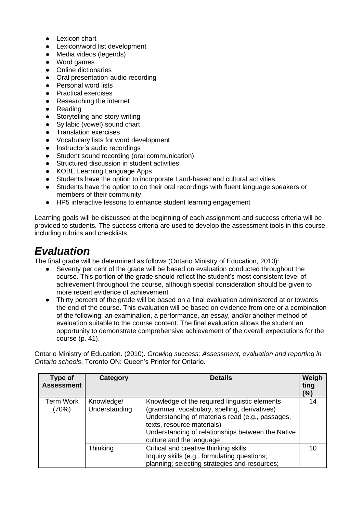- Lexicon chart
- Lexicon/word list development
- Media videos (legends)
- Word games
- Online dictionaries
- Oral presentation-audio recording
- Personal word lists
- Practical exercises
- Researching the internet
- Reading
- Storytelling and story writing
- Syllabic (vowel) sound chart
- Translation exercises
- Vocabulary lists for word development
- Instructor's audio recordings
- Student sound recording (oral communication)
- Structured discussion in student activities
- KOBE Learning Language Apps
- Students have the option to incorporate Land-based and cultural activities.
- Students have the option to do their oral recordings with fluent language speakers or members of their community.
- HP5 interactive lessons to enhance student learning engagement

Learning goals will be discussed at the beginning of each assignment and success criteria will be provided to students. The success criteria are used to develop the assessment tools in this course, including rubrics and checklists.

## *Evaluation*

The final grade will be determined as follows (Ontario Ministry of Education, 2010):

- Seventy per cent of the grade will be based on evaluation conducted throughout the course. This portion of the grade should reflect the student's most consistent level of achievement throughout the course, although special consideration should be given to more recent evidence of achievement.
- Thirty percent of the grade will be based on a final evaluation administered at or towards the end of the course. This evaluation will be based on evidence from one or a combination of the following: an examination, a performance, an essay, and/or another method of evaluation suitable to the course content. The final evaluation allows the student an opportunity to demonstrate comprehensive achievement of the overall expectations for the course (p. 41).

Ontario Ministry of Education. (2010). *Growing success: Assessment, evaluation and reporting in Ontario schools*. Toronto ON: Queen's Printer for Ontario.

| Type of<br><b>Assessment</b> | Category                    | <b>Details</b>                                                                                                                                                                                                                                                   | Weigh<br>ting<br>(%) |
|------------------------------|-----------------------------|------------------------------------------------------------------------------------------------------------------------------------------------------------------------------------------------------------------------------------------------------------------|----------------------|
| Term Work<br>(70%)           | Knowledge/<br>Understanding | Knowledge of the required linguistic elements<br>(grammar, vocabulary, spelling, derivatives)<br>Understanding of materials read (e.g., passages,<br>texts, resource materials)<br>Understanding of relationships between the Native<br>culture and the language | 14                   |
|                              | Thinking                    | Critical and creative thinking skills<br>Inquiry skills (e.g., formulating questions;<br>planning; selecting strategies and resources;                                                                                                                           | 10                   |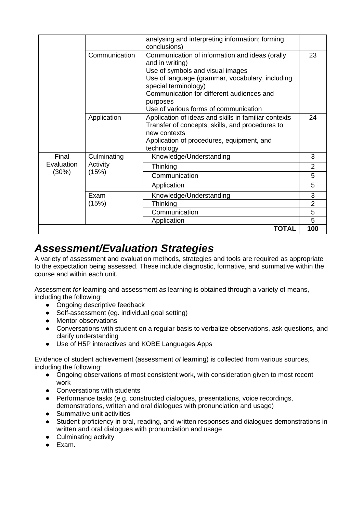|            |               | analysing and interpreting information; forming<br>conclusions)                                                                                                                                                                                                                    |                |
|------------|---------------|------------------------------------------------------------------------------------------------------------------------------------------------------------------------------------------------------------------------------------------------------------------------------------|----------------|
|            | Communication | Communication of information and ideas (orally<br>and in writing)<br>Use of symbols and visual images<br>Use of language (grammar, vocabulary, including<br>special terminology)<br>Communication for different audiences and<br>purposes<br>Use of various forms of communication | 23             |
|            | Application   | Application of ideas and skills in familiar contexts<br>Transfer of concepts, skills, and procedures to<br>new contexts<br>Application of procedures, equipment, and<br>technology                                                                                                 | 24             |
| Final      | Culminating   | Knowledge/Understanding                                                                                                                                                                                                                                                            | 3              |
| Evaluation | Activity      | Thinking                                                                                                                                                                                                                                                                           | $\overline{2}$ |
| (30%)      | (15%)         | Communication                                                                                                                                                                                                                                                                      | 5              |
|            |               | Application                                                                                                                                                                                                                                                                        | 5              |
|            | Exam          | Knowledge/Understanding                                                                                                                                                                                                                                                            | 3              |
|            | (15%)         | Thinking                                                                                                                                                                                                                                                                           | $\overline{2}$ |
|            |               | Communication                                                                                                                                                                                                                                                                      | 5              |
|            |               | Application                                                                                                                                                                                                                                                                        | 5              |
|            |               | <b>TOTAL</b>                                                                                                                                                                                                                                                                       | 100            |

## *Assessment/Evaluation Strategies*

A variety of assessment and evaluation methods, strategies and tools are required as appropriate to the expectation being assessed. These include diagnostic, formative, and summative within the course and within each unit.

Assessment *for* learning and assessment *as* learning is obtained through a variety of means, including the following:

- Ongoing descriptive feedback
- Self-assessment (eq. individual goal setting)
- Mentor observations
- Conversations with student on a regular basis to verbalize observations, ask questions, and clarify understanding
- Use of H5P interactives and KOBE Languages Apps

Evidence of student achievement (assessment *of* learning) is collected from various sources, including the following:

- Ongoing observations of most consistent work, with consideration given to most recent work
- Conversations with students
- Performance tasks (e.g. constructed dialogues, presentations, voice recordings, demonstrations, written and oral dialogues with pronunciation and usage)
- Summative unit activities
- Student proficiency in oral, reading, and written responses and dialogues demonstrations in written and oral dialogues with pronunciation and usage
- Culminating activity
- Exam.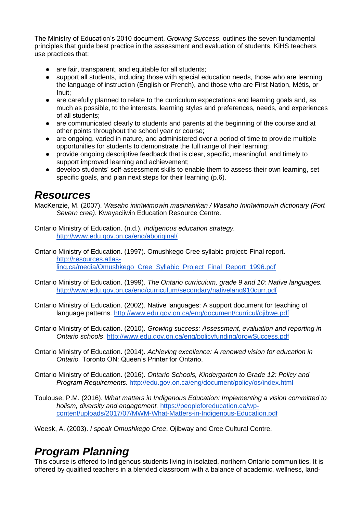The Ministry of Education's 2010 document, *Growing Success*, outlines the seven fundamental principles that guide best practice in the assessment and evaluation of students. KiHS teachers use practices that:

- are fair, transparent, and equitable for all students;
- support all students, including those with special education needs, those who are learning the language of instruction (English or French), and those who are First Nation, Métis, or Inuit;
- are carefully planned to relate to the curriculum expectations and learning goals and, as much as possible, to the interests, learning styles and preferences, needs, and experiences of all students;
- are communicated clearly to students and parents at the beginning of the course and at other points throughout the school year or course;
- are ongoing, varied in nature, and administered over a period of time to provide multiple opportunities for students to demonstrate the full range of their learning;
- provide ongoing descriptive feedback that is clear, specific, meaningful, and timely to support improved learning and achievement;
- develop students' self-assessment skills to enable them to assess their own learning, set specific goals, and plan next steps for their learning (p.6).

### *Resources*

MacKenzie, M. (2007). *Wasaho ininîwimowin masinahikan / Wasaho Ininîwimowin dictionary (Fort Severn cree)*. Kwayaciiwin Education Resource Centre.

Ontario Ministry of Education. (n.d.). *Indigenous education strategy.* <http://www.edu.gov.on.ca/eng/aboriginal/>

Ontario Ministry of Education. (1997). Omushkego Cree syllabic project: Final report. [http://resources.atlas](http://resources.atlas-ling.ca/media/Omushkego_Cree_Syllabic_Project_Final_Report_1996.pdf)[ling.ca/media/Omushkego\\_Cree\\_Syllabic\\_Project\\_Final\\_Report\\_1996.pdf](http://resources.atlas-ling.ca/media/Omushkego_Cree_Syllabic_Project_Final_Report_1996.pdf)

- Ontario Ministry of Education. (1999). *The Ontario curriculum, grade 9 and 10: Native languages.* <http://www.edu.gov.on.ca/eng/curriculum/secondary/nativelang910curr.pdf>
- Ontario Ministry of Education. (2002). Native languages: A support document for teaching of language patterns.<http://www.edu.gov.on.ca/eng/document/curricul/ojibwe.pdf>
- Ontario Ministry of Education. (2010). *Growing success: Assessment, evaluation and reporting in Ontario schools*.<http://www.edu.gov.on.ca/eng/policyfunding/growSuccess.pdf>
- Ontario Ministry of Education. (2014). *Achieving excellence: A renewed vision for education in Ontario.* Toronto ON: Queen's Printer for Ontario.
- Ontario Ministry of Education. (2016). *Ontario Schools, Kindergarten to Grade 12: Policy and Program Requirements.* <http://edu.gov.on.ca/eng/document/policy/os/index.html>

Toulouse, P.M. (2016). *What matters in Indigenous Education: Implementing a vision committed to holism, diversity and engagement.* [https://peopleforeducation.ca/wp](https://peopleforeducation.ca/wp-content/uploads/2017/07/MWM-What-Matters-in-Indigenous-Education.pdf)[content/uploads/2017/07/MWM-What-Matters-in-Indigenous-Education.pdf](https://peopleforeducation.ca/wp-content/uploads/2017/07/MWM-What-Matters-in-Indigenous-Education.pdf)

Weesk, A. (2003). *I speak Omushkego Cree*. Ojibway and Cree Cultural Centre.

## *Program Planning*

This course is offered to Indigenous students living in isolated, northern Ontario communities. It is offered by qualified teachers in a blended classroom with a balance of academic, wellness, land-